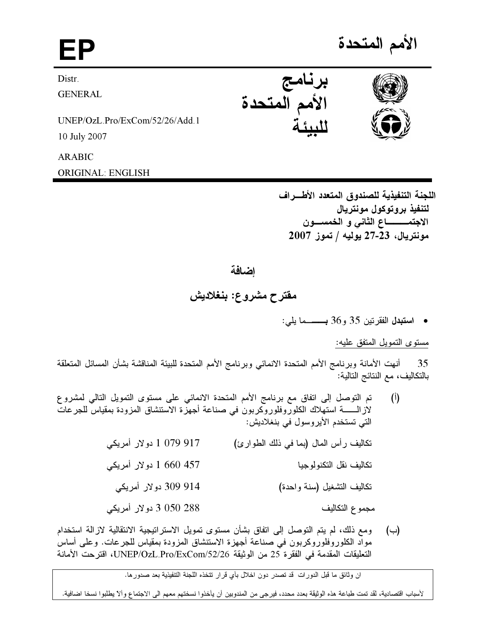الأمم المتحدة

Distr.

**GENERAL** 

UNEP/OzL.Pro/ExCom/52/26/Add.1

10 July 2007

## **ARABIC**

**ORIGINAL: ENGLISH** 

اللجنة التنفيذية للصندوق المتعدد الأطـــراف لتنفيذ بروتوكول مونتريال الاجتمـــــــــــاع الثاني و الـخمســــون مونتريال، 23-27 يوليه / تموز 2007

## اضافة

## مقترح مشروع: بنغلاديش

• استبدل الفقرتين 35 و36 بــــــما يلي:

مستوى التمويل المتفق عليه:

35 ٪ أنهت الأمانة وبرنامج الأمم المتحدة الانمائي وبرنامج الأمم المتحدة للبيئة المناقشة بشأن المسائل المتعلقة بالتكاليف، مع النتائج التالية:

- تم التوصل إلى اتفاق مع برنامج الأمم المتحدة الانمائي على مستوى التمويل التالي لمشروع  $\left($ <sup>[</sup>) لاز الــــــــــة استهلاك الكلوروفلوروكربون في صناعة أجهزة الاستنشاق المزودة بمقياس للجرعات التي تستخدم الأيروسول في بنغلاديش: 917 079 1 دولار أمريكي تكاليف رأس المال (بما في ذلك الطوارئ) 1 660 157 دولار أمريكي تكاليف نقل التكنولوجيا 914 309 دولار أمريكي تكاليف التشغيل (سنة واحدة) 3 050 288 دولار أمريكي مجموع التكاليف
- ومع ذلك، لم يتم التوصل إلى اتفاق بشأن مستوى تمويل الاستراتيجية الانتقالية لازالة استخدام  $(\hookrightarrow)$ مواد الكلوروفلوروكربون في صناعة أجهزة الاستنشاق المزودة بمقياس للجرعات. وعلى أساس التعليقات المقدمة في الفقر ة 25 من الوثيقة UNEP/OzL.Pro/ExCom/52/26، اقترحت الأمانة

ان وثائق ما قبل الدورات قد تصدر دون اخلال بأي قرار تتخذه اللجنة التنفيذية بعد صدور ما.

لأسباب اقتصادية، لقد تمت طباعة هذه الوثيقة بعدد محدد، فيرجى من المندوبين أن يأخذوا نسختهم معهم الى الاجتماع وألآ يطلبوا نسخا اضافية.





برنامج الأمم المتحدة